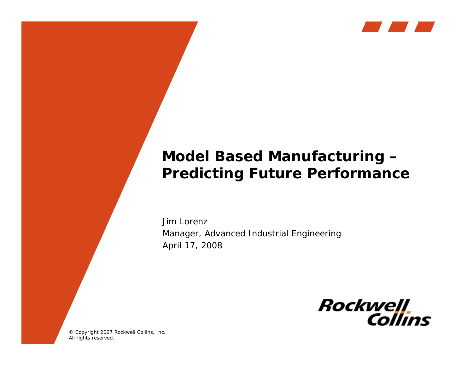

## **Model Based Manufacturing – Predicting Future Performance**

Jim LorenzManager, Advanced Industrial Engineering April 17, 2008



© Copyright 2007 Rockwell Collins, Inc. All rights reserved.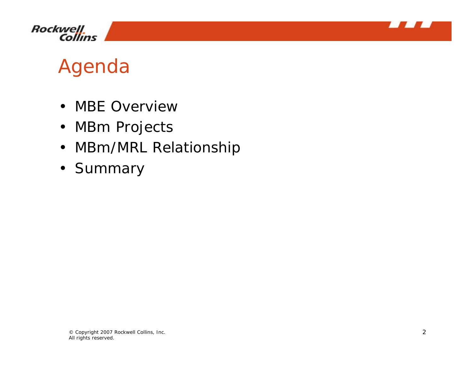



# Agenda

- MBE Overview
- MBm Projects
- MBm/MRL Relationship
- Summary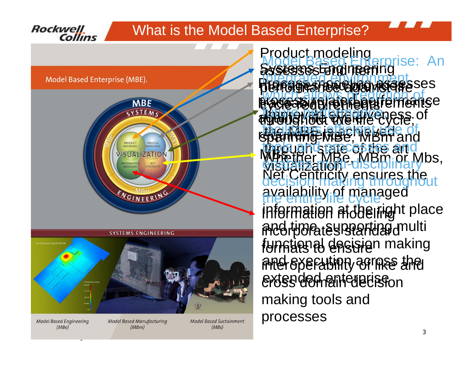### What is the Model Based Enterprise?



**Model Based Engineering**  $(MBe)$ 

**Rockwell** 

Collins

All rights reserved.

**Model Based Manufacturing**  $(MBm)$ 

**Model Based Sustainment**  $(MBs)$ 

Be, MBm or Mbs, iv ensures the availability of managed information at the right place and time, supporting multi funstienal desisien making  $\widehat{\mathcal{C}}$  and  $\widehat{\mathcal{C}}$  and  $\widehat{\mathcal{C}}$ erdss derheint die eisfon assesses Engineering Professioe and assesses Pracessadue/representementse a music comparison of requirements is the Material of **MBS Product modeling<br>Model Based Enterprise: An** Information modeling **incorporates standard** making tools and processes through structures and visualizationModel Based Enterprise: An integrated en regningent which all September of enables multi-disciplinary" decision making throughout the entire life cycle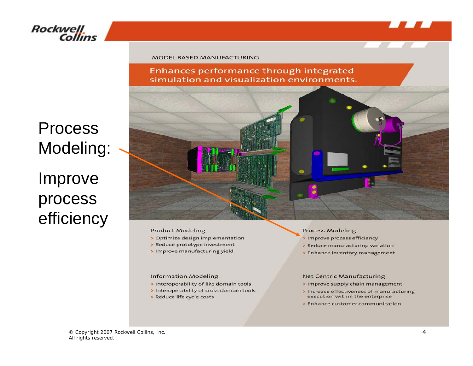![](_page_3_Picture_0.jpeg)

## Rockwell<br>Collins

Process

Improve

process

efficiency

Modeling:

#### MODEL BASED MANUFACTURING

Enhances performance through integrated simulation and visualization environments.

![](_page_3_Picture_4.jpeg)

#### **Product Modeling**

- > Optimize design implementation
- > Reduce prototype investment
- > Improve manufacturing yield

#### **Information Modeling**

- > Interoperability of like domain tools
- > Interoperability of cross domain tools
- > Reduce life cycle costs

#### **Process Modeling**

- > Improve process efficiency
- > Reduce manufacturing variation
- > Enhance inventory management

#### **Net Centric Manufacturing**

- > Improve supply chain management
- > Increase effectiveness of manufacturing execution within the enterprise
- > Enhance customer communication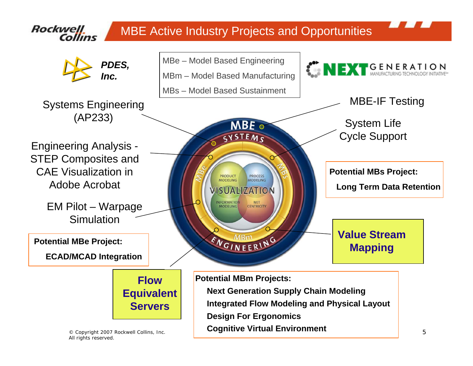![](_page_4_Figure_0.jpeg)

© Copyright 2007 Rockwell Collins, Inc. 5 All rights reserved.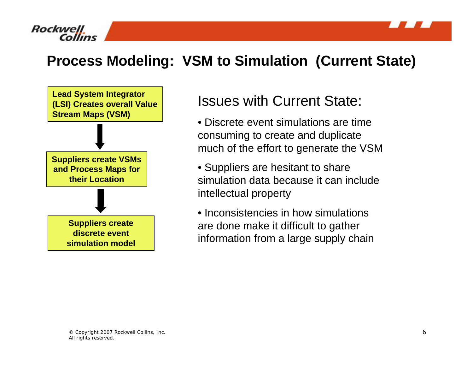![](_page_5_Picture_0.jpeg)

![](_page_5_Picture_1.jpeg)

## **Process Modeling: VSM to Simulation (Current State)**

![](_page_5_Figure_3.jpeg)

### Issues with Current State:

- Discrete event simulations are time consuming to create and duplicate much of the effort to generate the VSM
- Suppliers are hesitant to share simulation data because it can include intellectual property
- Inconsistencies in how simulations are done make it difficult to gather information from a large supply chain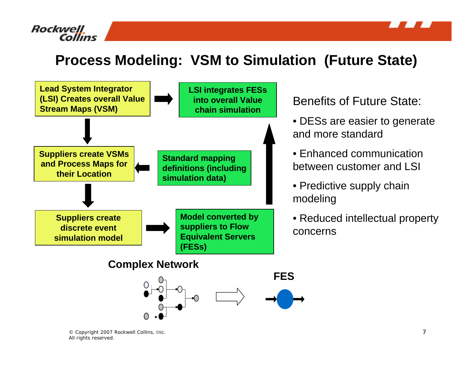![](_page_6_Picture_0.jpeg)

![](_page_6_Picture_1.jpeg)

## **Process Modeling: VSM to Simulation (Future State)**

![](_page_6_Figure_3.jpeg)

Benefits of Future State:

- DESs are easier to generate and more standard
- Enhanced communication between customer and LSI
- Predictive supply chain modeling
- Reduced intellectual property concerns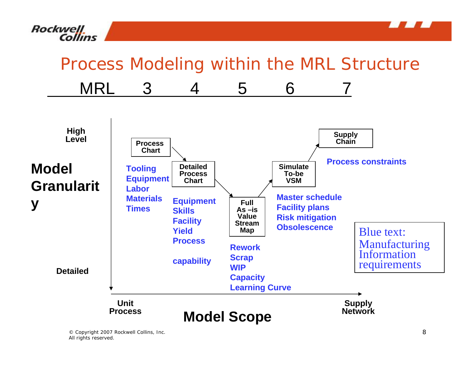![](_page_7_Picture_0.jpeg)

![](_page_7_Picture_1.jpeg)

## Process Modeling within the MRL Structure

![](_page_7_Figure_3.jpeg)

All rights reserved.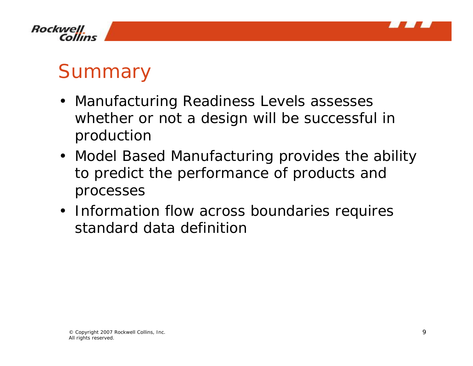![](_page_8_Picture_0.jpeg)

![](_page_8_Picture_1.jpeg)

# **Summary**

- Manufacturing Readiness Levels assesses whether or not a design will be successful in production
- Model Based Manufacturing provides the ability to predict the performance of products and processes
- Information flow across boundaries requires standard data definition